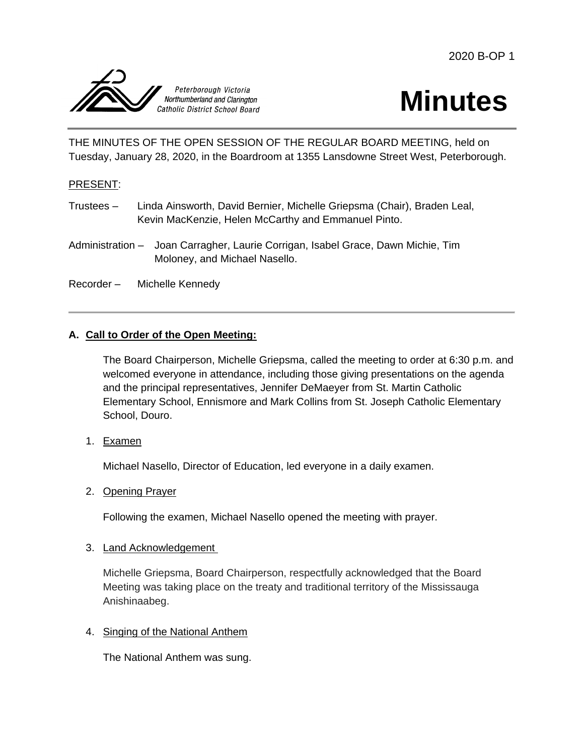



THE MINUTES OF THE OPEN SESSION OF THE REGULAR BOARD MEETING, held on Tuesday, January 28, 2020, in the Boardroom at 1355 Lansdowne Street West, Peterborough.

### PRESENT:

- Trustees Linda Ainsworth, David Bernier, Michelle Griepsma (Chair), Braden Leal, Kevin MacKenzie, Helen McCarthy and Emmanuel Pinto.
- Administration Joan Carragher, Laurie Corrigan, Isabel Grace, Dawn Michie, Tim Moloney, and Michael Nasello.
- Recorder Michelle Kennedy

## **A. Call to Order of the Open Meeting:**

The Board Chairperson, Michelle Griepsma, called the meeting to order at 6:30 p.m. and welcomed everyone in attendance, including those giving presentations on the agenda and the principal representatives, Jennifer DeMaeyer from St. Martin Catholic Elementary School, Ennismore and Mark Collins from St. Joseph Catholic Elementary School, Douro.

1. Examen

Michael Nasello, Director of Education, led everyone in a daily examen.

### 2. Opening Prayer

Following the examen, Michael Nasello opened the meeting with prayer.

### 3. Land Acknowledgement

Michelle Griepsma, Board Chairperson, respectfully acknowledged that the Board Meeting was taking place on the treaty and traditional territory of the Mississauga Anishinaabeg.

4. Singing of the National Anthem

The National Anthem was sung.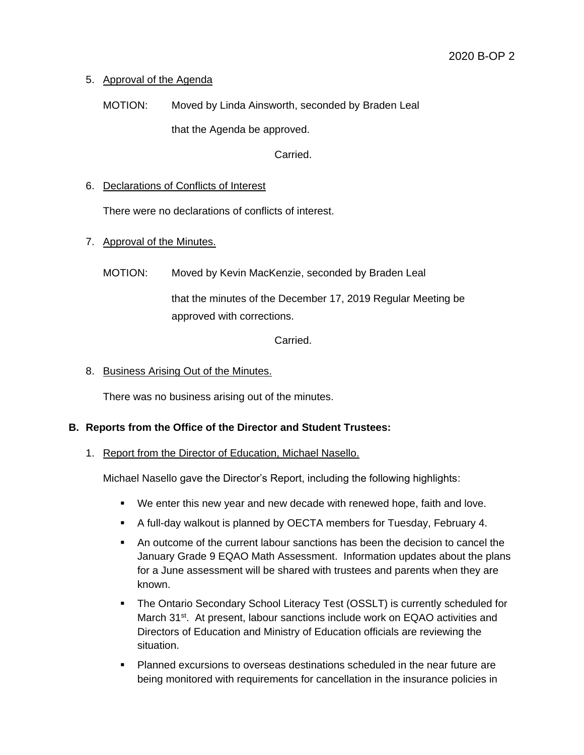# 5. Approval of the Agenda

MOTION: Moved by Linda Ainsworth, seconded by Braden Leal that the Agenda be approved.

Carried.

# 6. Declarations of Conflicts of Interest

There were no declarations of conflicts of interest.

# 7. Approval of the Minutes.

MOTION: Moved by Kevin MacKenzie, seconded by Braden Leal

that the minutes of the December 17, 2019 Regular Meeting be approved with corrections.

# Carried.

# 8. Business Arising Out of the Minutes.

There was no business arising out of the minutes.

# **B. Reports from the Office of the Director and Student Trustees:**

1. Report from the Director of Education, Michael Nasello.

Michael Nasello gave the Director's Report, including the following highlights:

- We enter this new year and new decade with renewed hope, faith and love.
- A full-day walkout is planned by OECTA members for Tuesday, February 4.
- An outcome of the current labour sanctions has been the decision to cancel the January Grade 9 EQAO Math Assessment. Information updates about the plans for a June assessment will be shared with trustees and parents when they are known.
- The Ontario Secondary School Literacy Test (OSSLT) is currently scheduled for March 31<sup>st</sup>. At present, labour sanctions include work on EQAO activities and Directors of Education and Ministry of Education officials are reviewing the situation.
- Planned excursions to overseas destinations scheduled in the near future are being monitored with requirements for cancellation in the insurance policies in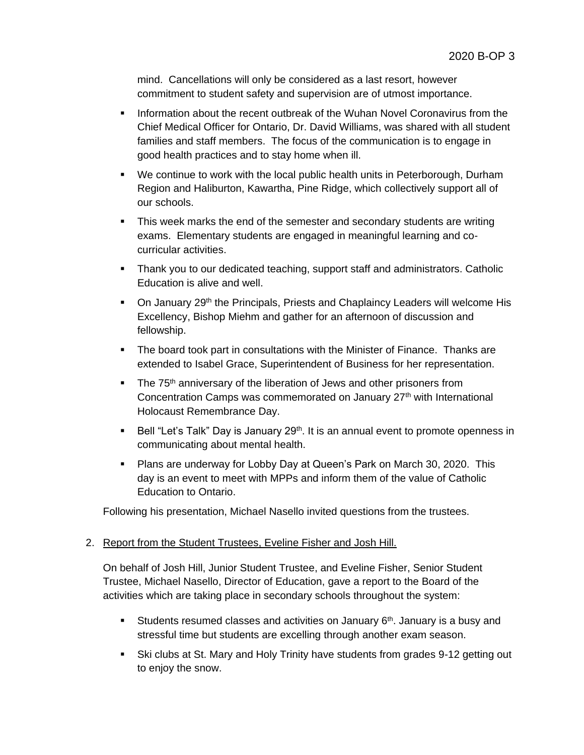mind. Cancellations will only be considered as a last resort, however commitment to student safety and supervision are of utmost importance.

- **Information about the recent outbreak of the Wuhan Novel Coronavirus from the** Chief Medical Officer for Ontario, Dr. David Williams, was shared with all student families and staff members. The focus of the communication is to engage in good health practices and to stay home when ill.
- We continue to work with the local public health units in Peterborough, Durham Region and Haliburton, Kawartha, Pine Ridge, which collectively support all of our schools.
- This week marks the end of the semester and secondary students are writing exams. Elementary students are engaged in meaningful learning and cocurricular activities.
- Thank you to our dedicated teaching, support staff and administrators. Catholic Education is alive and well.
- On January 29<sup>th</sup> the Principals, Priests and Chaplaincy Leaders will welcome His Excellency, Bishop Miehm and gather for an afternoon of discussion and fellowship.
- **The board took part in consultations with the Minister of Finance. Thanks are** extended to Isabel Grace, Superintendent of Business for her representation.
- $\blacksquare$  The 75<sup>th</sup> anniversary of the liberation of Jews and other prisoners from Concentration Camps was commemorated on January 27<sup>th</sup> with International Holocaust Remembrance Day.
- **Bell "Let's Talk" Day is January 29<sup>th</sup>. It is an annual event to promote openness in** communicating about mental health.
- Plans are underway for Lobby Day at Queen's Park on March 30, 2020. This day is an event to meet with MPPs and inform them of the value of Catholic Education to Ontario.

Following his presentation, Michael Nasello invited questions from the trustees.

# 2. Report from the Student Trustees, Eveline Fisher and Josh Hill.

On behalf of Josh Hill, Junior Student Trustee, and Eveline Fisher, Senior Student Trustee, Michael Nasello, Director of Education, gave a report to the Board of the activities which are taking place in secondary schools throughout the system:

- Students resumed classes and activities on January  $6<sup>th</sup>$ . January is a busy and stressful time but students are excelling through another exam season.
- Ski clubs at St. Mary and Holy Trinity have students from grades 9-12 getting out to enjoy the snow.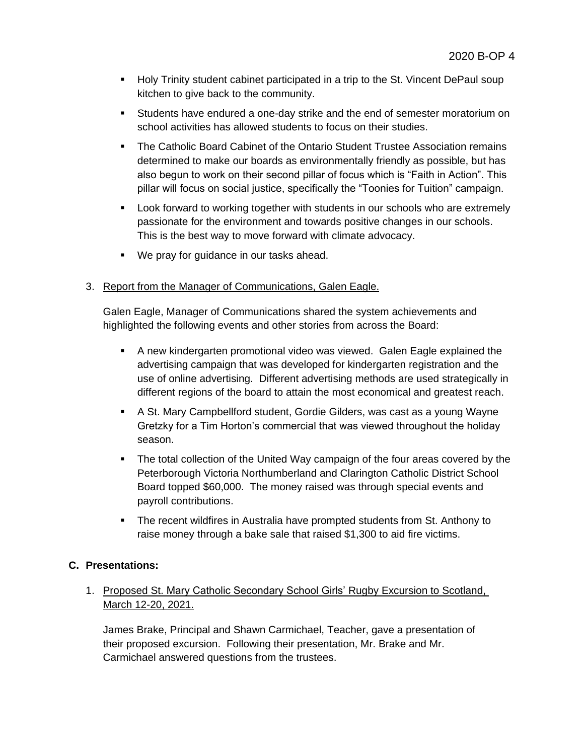- Holy Trinity student cabinet participated in a trip to the St. Vincent DePaul soup kitchen to give back to the community.
- Students have endured a one-day strike and the end of semester moratorium on school activities has allowed students to focus on their studies.
- The Catholic Board Cabinet of the Ontario Student Trustee Association remains determined to make our boards as environmentally friendly as possible, but has also begun to work on their second pillar of focus which is "Faith in Action". This pillar will focus on social justice, specifically the "Toonies for Tuition" campaign.
- Look forward to working together with students in our schools who are extremely passionate for the environment and towards positive changes in our schools. This is the best way to move forward with climate advocacy.
- We pray for guidance in our tasks ahead.

# 3. Report from the Manager of Communications, Galen Eagle.

Galen Eagle, Manager of Communications shared the system achievements and highlighted the following events and other stories from across the Board:

- A new kindergarten promotional video was viewed. Galen Eagle explained the advertising campaign that was developed for kindergarten registration and the use of online advertising. Different advertising methods are used strategically in different regions of the board to attain the most economical and greatest reach.
- A St. Mary Campbellford student, Gordie Gilders, was cast as a young Wayne Gretzky for a Tim Horton's commercial that was viewed throughout the holiday season.
- The total collection of the United Way campaign of the four areas covered by the Peterborough Victoria Northumberland and Clarington Catholic District School Board topped \$60,000. The money raised was through special events and payroll contributions.
- The recent wildfires in Australia have prompted students from St. Anthony to raise money through a bake sale that raised \$1,300 to aid fire victims.

# **C. Presentations:**

# 1. Proposed St. Mary Catholic Secondary School Girls' Rugby Excursion to Scotland, March 12-20, 2021.

James Brake, Principal and Shawn Carmichael, Teacher, gave a presentation of their proposed excursion. Following their presentation, Mr. Brake and Mr. Carmichael answered questions from the trustees.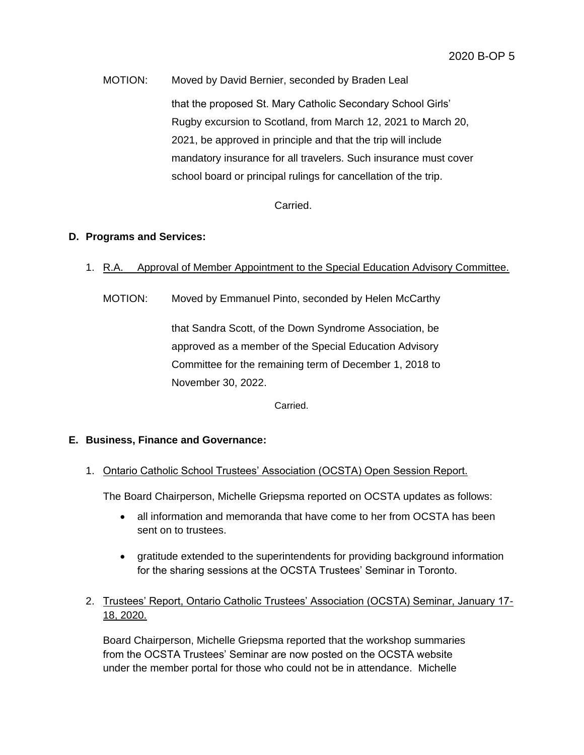MOTION: Moved by David Bernier, seconded by Braden Leal that the proposed St. Mary Catholic Secondary School Girls' Rugby excursion to Scotland, from March 12, 2021 to March 20, 2021, be approved in principle and that the trip will include mandatory insurance for all travelers. Such insurance must cover school board or principal rulings for cancellation of the trip.

Carried.

# **D. Programs and Services:**

- 1. R.A. Approval of Member Appointment to the Special Education Advisory Committee.
	- MOTION: Moved by Emmanuel Pinto, seconded by Helen McCarthy

that Sandra Scott, of the Down Syndrome Association, be approved as a member of the Special Education Advisory Committee for the remaining term of December 1, 2018 to November 30, 2022.

Carried.

# **E. Business, Finance and Governance:**

1. Ontario Catholic School Trustees' Association (OCSTA) Open Session Report.

The Board Chairperson, Michelle Griepsma reported on OCSTA updates as follows:

- all information and memoranda that have come to her from OCSTA has been sent on to trustees.
- gratitude extended to the superintendents for providing background information for the sharing sessions at the OCSTA Trustees' Seminar in Toronto.
- 2. Trustees' Report, Ontario Catholic Trustees' Association (OCSTA) Seminar, January 17- 18, 2020.

Board Chairperson, Michelle Griepsma reported that the workshop summaries from the OCSTA Trustees' Seminar are now posted on the OCSTA website under the member portal for those who could not be in attendance. Michelle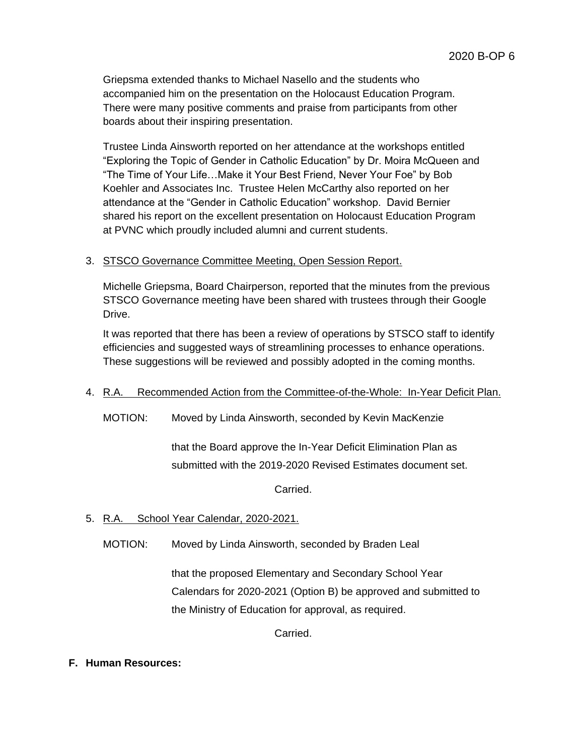Griepsma extended thanks to Michael Nasello and the students who accompanied him on the presentation on the Holocaust Education Program. There were many positive comments and praise from participants from other boards about their inspiring presentation.

Trustee Linda Ainsworth reported on her attendance at the workshops entitled "Exploring the Topic of Gender in Catholic Education" by Dr. Moira McQueen and "The Time of Your Life…Make it Your Best Friend, Never Your Foe" by Bob Koehler and Associates Inc. Trustee Helen McCarthy also reported on her attendance at the "Gender in Catholic Education" workshop. David Bernier shared his report on the excellent presentation on Holocaust Education Program at PVNC which proudly included alumni and current students.

# 3. STSCO Governance Committee Meeting, Open Session Report.

Michelle Griepsma, Board Chairperson, reported that the minutes from the previous STSCO Governance meeting have been shared with trustees through their Google Drive.

It was reported that there has been a review of operations by STSCO staff to identify efficiencies and suggested ways of streamlining processes to enhance operations. These suggestions will be reviewed and possibly adopted in the coming months.

# 4. R.A. Recommended Action from the Committee-of-the-Whole: In-Year Deficit Plan.

MOTION: Moved by Linda Ainsworth, seconded by Kevin MacKenzie

that the Board approve the In-Year Deficit Elimination Plan as submitted with the 2019-2020 Revised Estimates document set.

Carried.

# 5. R.A. School Year Calendar, 2020-2021.

MOTION: Moved by Linda Ainsworth, seconded by Braden Leal

that the proposed Elementary and Secondary School Year Calendars for 2020-2021 (Option B) be approved and submitted to the Ministry of Education for approval, as required.

Carried.

# **F. Human Resources:**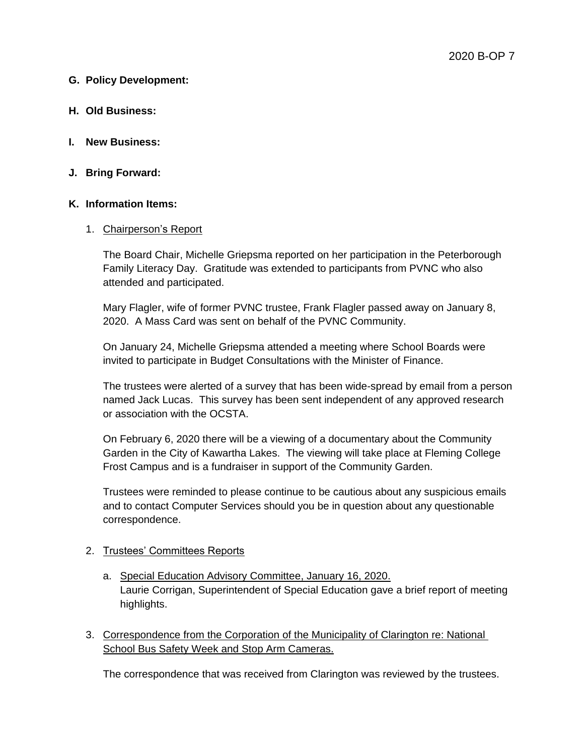## **G. Policy Development:**

- **H. Old Business:**
- **I. New Business:**
- **J. Bring Forward:**

### **K. Information Items:**

### 1. Chairperson's Report

The Board Chair, Michelle Griepsma reported on her participation in the Peterborough Family Literacy Day. Gratitude was extended to participants from PVNC who also attended and participated.

Mary Flagler, wife of former PVNC trustee, Frank Flagler passed away on January 8, 2020. A Mass Card was sent on behalf of the PVNC Community.

On January 24, Michelle Griepsma attended a meeting where School Boards were invited to participate in Budget Consultations with the Minister of Finance.

The trustees were alerted of a survey that has been wide-spread by email from a person named Jack Lucas. This survey has been sent independent of any approved research or association with the OCSTA.

On February 6, 2020 there will be a viewing of a documentary about the Community Garden in the City of Kawartha Lakes. The viewing will take place at Fleming College Frost Campus and is a fundraiser in support of the Community Garden.

Trustees were reminded to please continue to be cautious about any suspicious emails and to contact Computer Services should you be in question about any questionable correspondence.

### 2. Trustees' Committees Reports

- a. Special Education Advisory Committee, January 16, 2020. Laurie Corrigan, Superintendent of Special Education gave a brief report of meeting highlights.
- 3. Correspondence from the Corporation of the Municipality of Clarington re: National School Bus Safety Week and Stop Arm Cameras.

The correspondence that was received from Clarington was reviewed by the trustees.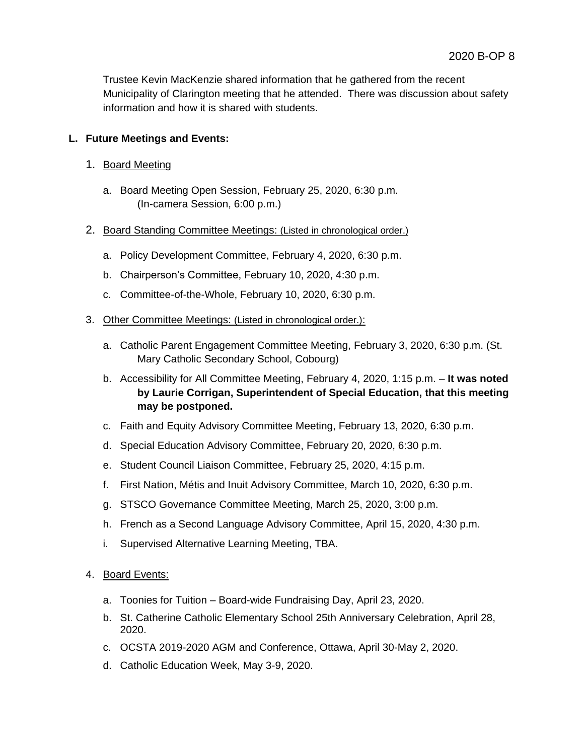Trustee Kevin MacKenzie shared information that he gathered from the recent Municipality of Clarington meeting that he attended. There was discussion about safety information and how it is shared with students.

# **L. Future Meetings and Events:**

- 1. Board Meeting
	- a. Board Meeting Open Session, February 25, 2020, 6:30 p.m. (In-camera Session, 6:00 p.m.)
- 2. Board Standing Committee Meetings: (Listed in chronological order.)
	- a. Policy Development Committee, February 4, 2020, 6:30 p.m.
	- b. Chairperson's Committee, February 10, 2020, 4:30 p.m.
	- c. Committee-of-the-Whole, February 10, 2020, 6:30 p.m.
- 3. Other Committee Meetings: (Listed in chronological order.):
	- a. Catholic Parent Engagement Committee Meeting, February 3, 2020, 6:30 p.m. (St. Mary Catholic Secondary School, Cobourg)
	- b. Accessibility for All Committee Meeting, February 4, 2020, 1:15 p.m. **It was noted by Laurie Corrigan, Superintendent of Special Education, that this meeting may be postponed.**
	- c. Faith and Equity Advisory Committee Meeting, February 13, 2020, 6:30 p.m.
	- d. Special Education Advisory Committee, February 20, 2020, 6:30 p.m.
	- e. Student Council Liaison Committee, February 25, 2020, 4:15 p.m.
	- f. First Nation, Métis and Inuit Advisory Committee, March 10, 2020, 6:30 p.m.
	- g. STSCO Governance Committee Meeting, March 25, 2020, 3:00 p.m.
	- h. French as a Second Language Advisory Committee, April 15, 2020, 4:30 p.m.
	- i. Supervised Alternative Learning Meeting, TBA.
- 4. Board Events:
	- a. Toonies for Tuition Board-wide Fundraising Day, April 23, 2020.
	- b. St. Catherine Catholic Elementary School 25th Anniversary Celebration, April 28, 2020.
	- c. OCSTA 2019-2020 AGM and Conference, Ottawa, April 30-May 2, 2020.
	- d. Catholic Education Week, May 3-9, 2020.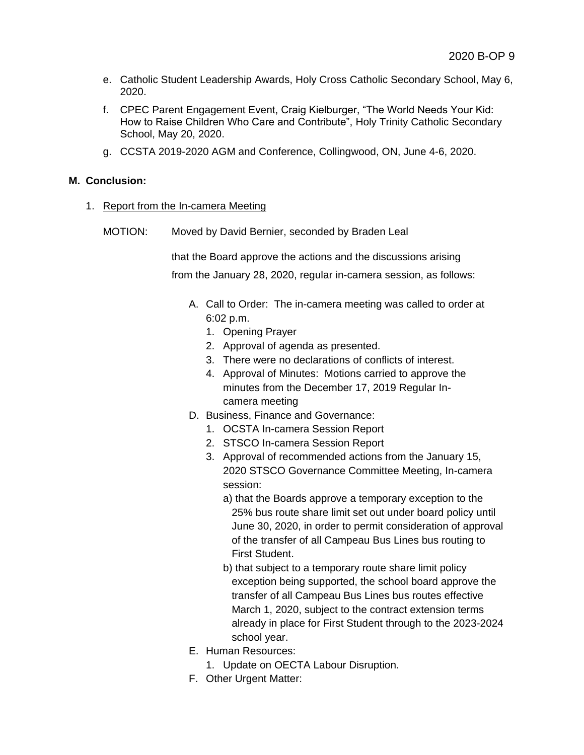- e. Catholic Student Leadership Awards, Holy Cross Catholic Secondary School, May 6, 2020.
- f. CPEC Parent Engagement Event, Craig Kielburger, "The World Needs Your Kid: How to Raise Children Who Care and Contribute", Holy Trinity Catholic Secondary School, May 20, 2020.
- g. CCSTA 2019-2020 AGM and Conference, Collingwood, ON, June 4-6, 2020.

## **M. Conclusion:**

- 1. Report from the In-camera Meeting
	- MOTION: Moved by David Bernier, seconded by Braden Leal

that the Board approve the actions and the discussions arising from the January 28, 2020, regular in-camera session, as follows:

- A. Call to Order: The in-camera meeting was called to order at 6:02 p.m.
	- 1. Opening Prayer
	- 2. Approval of agenda as presented.
	- 3. There were no declarations of conflicts of interest.
	- 4. Approval of Minutes: Motions carried to approve the minutes from the December 17, 2019 Regular Incamera meeting
- D. Business, Finance and Governance:
	- 1. OCSTA In-camera Session Report
	- 2. STSCO In-camera Session Report
	- 3. Approval of recommended actions from the January 15, 2020 STSCO Governance Committee Meeting, In-camera session:
		- a) that the Boards approve a temporary exception to the 25% bus route share limit set out under board policy until June 30, 2020, in order to permit consideration of approval of the transfer of all Campeau Bus Lines bus routing to First Student.
		- b) that subject to a temporary route share limit policy exception being supported, the school board approve the transfer of all Campeau Bus Lines bus routes effective March 1, 2020, subject to the contract extension terms already in place for First Student through to the 2023-2024 school year.
- E. Human Resources:
	- 1. Update on OECTA Labour Disruption.
- F. Other Urgent Matter: